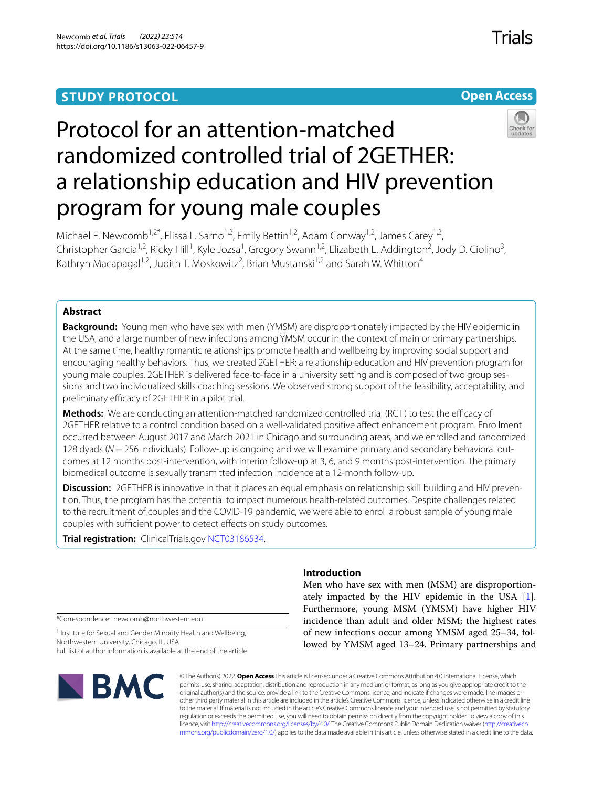# **STUDY PROTOCOL**





# Protocol for an attention-matched randomized controlled trial of 2GETHER: a relationship education and HIV prevention program for young male couples

Michael E. Newcomb<sup>1,2\*</sup>, Elissa L. Sarno<sup>1,2</sup>, Emily Bettin<sup>1,2</sup>, Adam Conway<sup>1,2</sup>, James Carey<sup>1,2</sup>, Christopher Garcia<sup>1,2</sup>, Ricky Hill<sup>1</sup>, Kyle Jozsa<sup>1</sup>, Gregory Swann<sup>1,2</sup>, Elizabeth L. Addington<sup>2</sup>, Jody D. Ciolino<sup>3</sup>, Kathryn Macapagal<sup>1,2</sup>, Judith T. Moskowitz<sup>2</sup>, Brian Mustanski<sup>1,2</sup> and Sarah W. Whitton<sup>4</sup>

# **Abstract**

**Background:** Young men who have sex with men (YMSM) are disproportionately impacted by the HIV epidemic in the USA, and a large number of new infections among YMSM occur in the context of main or primary partnerships. At the same time, healthy romantic relationships promote health and wellbeing by improving social support and encouraging healthy behaviors. Thus, we created 2GETHER: a relationship education and HIV prevention program for young male couples. 2GETHER is delivered face-to-face in a university setting and is composed of two group sessions and two individualized skills coaching sessions. We observed strong support of the feasibility, acceptability, and preliminary efficacy of 2GETHER in a pilot trial.

**Methods:** We are conducting an attention-matched randomized controlled trial (RCT) to test the efficacy of 2GETHER relative to a control condition based on a well-validated positive afect enhancement program. Enrollment occurred between August 2017 and March 2021 in Chicago and surrounding areas, and we enrolled and randomized 128 dyads (*N*=256 individuals). Follow-up is ongoing and we will examine primary and secondary behavioral outcomes at 12 months post-intervention, with interim follow-up at 3, 6, and 9 months post-intervention. The primary biomedical outcome is sexually transmitted infection incidence at a 12-month follow-up.

**Discussion:** 2GETHER is innovative in that it places an equal emphasis on relationship skill building and HIV prevention. Thus, the program has the potential to impact numerous health-related outcomes. Despite challenges related to the recruitment of couples and the COVID-19 pandemic, we were able to enroll a robust sample of young male couples with sufficient power to detect effects on study outcomes.

**Trial registration:** ClinicalTrials.gov [NCT03186534.](https://clinicaltrials.gov/ct2/show/NCT03186534?term=michael+newcomb&draw=2)

\*Correspondence: newcomb@northwestern.edu

<sup>1</sup> Institute for Sexual and Gender Minority Health and Wellbeing, Northwestern University, Chicago, IL, USA Full list of author information is available at the end of the article



# **Introduction**

Men who have sex with men (MSM) are disproportionately impacted by the HIV epidemic in the USA [\[1](#page-12-0)]. Furthermore, young MSM (YMSM) have higher HIV incidence than adult and older MSM; the highest rates of new infections occur among YMSM aged 25–34, followed by YMSM aged 13–24. Primary partnerships and

© The Author(s) 2022. **Open Access** This article is licensed under a Creative Commons Attribution 4.0 International License, which permits use, sharing, adaptation, distribution and reproduction in any medium or format, as long as you give appropriate credit to the original author(s) and the source, provide a link to the Creative Commons licence, and indicate if changes were made. The images or other third party material in this article are included in the article's Creative Commons licence, unless indicated otherwise in a credit line to the material. If material is not included in the article's Creative Commons licence and your intended use is not permitted by statutory regulation or exceeds the permitted use, you will need to obtain permission directly from the copyright holder. To view a copy of this licence, visit [http://creativecommons.org/licenses/by/4.0/.](http://creativecommons.org/licenses/by/4.0/) The Creative Commons Public Domain Dedication waiver ([http://creativeco](http://creativecommons.org/publicdomain/zero/1.0/) [mmons.org/publicdomain/zero/1.0/](http://creativecommons.org/publicdomain/zero/1.0/)) applies to the data made available in this article, unless otherwise stated in a credit line to the data.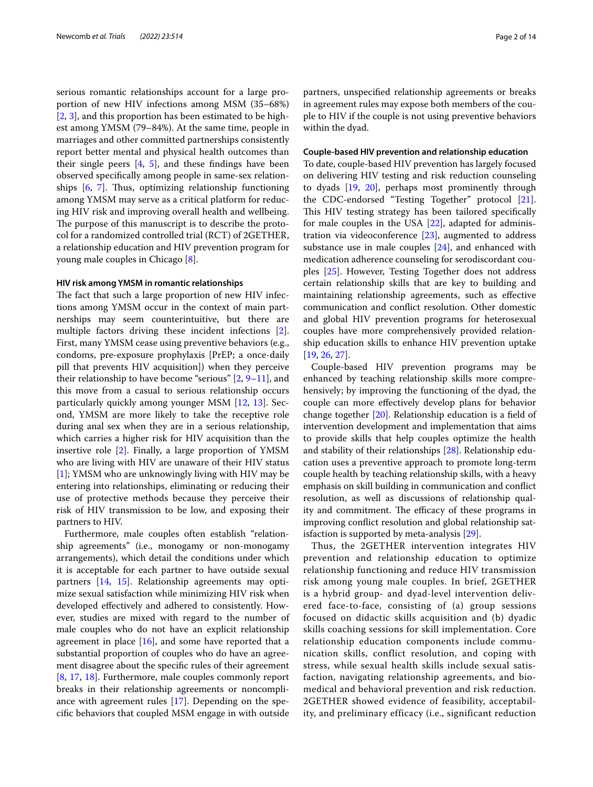serious romantic relationships account for a large proportion of new HIV infections among MSM (35–68%) [[2,](#page-12-1) [3](#page-12-2)], and this proportion has been estimated to be highest among YMSM (79–84%). At the same time, people in marriages and other committed partnerships consistently report better mental and physical health outcomes than their single peers  $[4, 5]$  $[4, 5]$  $[4, 5]$ , and these findings have been observed specifcally among people in same-sex relationships  $[6, 7]$  $[6, 7]$  $[6, 7]$  $[6, 7]$ . Thus, optimizing relationship functioning among YMSM may serve as a critical platform for reducing HIV risk and improving overall health and wellbeing. The purpose of this manuscript is to describe the protocol for a randomized controlled trial (RCT) of 2GETHER, a relationship education and HIV prevention program for young male couples in Chicago [[8\]](#page-12-7).

#### **HIV risk among YMSM in romantic relationships**

The fact that such a large proportion of new HIV infections among YMSM occur in the context of main partnerships may seem counterintuitive, but there are multiple factors driving these incident infections [\[2](#page-12-1)]. First, many YMSM cease using preventive behaviors (e.g., condoms, pre-exposure prophylaxis [PrEP; a once-daily pill that prevents HIV acquisition]) when they perceive their relationship to have become "serious" [\[2](#page-12-1), [9–](#page-12-8)[11\]](#page-12-9), and this move from a casual to serious relationship occurs particularly quickly among younger MSM [[12,](#page-12-10) [13](#page-12-11)]. Second, YMSM are more likely to take the receptive role during anal sex when they are in a serious relationship, which carries a higher risk for HIV acquisition than the insertive role [\[2](#page-12-1)]. Finally, a large proportion of YMSM who are living with HIV are unaware of their HIV status [[1\]](#page-12-0); YMSM who are unknowingly living with HIV may be entering into relationships, eliminating or reducing their use of protective methods because they perceive their risk of HIV transmission to be low, and exposing their partners to HIV.

Furthermore, male couples often establish "relationship agreements" (i.e., monogamy or non-monogamy arrangements), which detail the conditions under which it is acceptable for each partner to have outside sexual partners [[14,](#page-12-12) [15](#page-12-13)]. Relationship agreements may optimize sexual satisfaction while minimizing HIV risk when developed efectively and adhered to consistently. However, studies are mixed with regard to the number of male couples who do not have an explicit relationship agreement in place  $[16]$  $[16]$ , and some have reported that a substantial proportion of couples who do have an agreement disagree about the specifc rules of their agreement [[8,](#page-12-7) [17,](#page-12-15) [18](#page-12-16)]. Furthermore, male couples commonly report breaks in their relationship agreements or noncompliance with agreement rules [[17\]](#page-12-15). Depending on the specifc behaviors that coupled MSM engage in with outside

partners, unspecifed relationship agreements or breaks in agreement rules may expose both members of the couple to HIV if the couple is not using preventive behaviors within the dyad.

# **Couple‑based HIV prevention and relationship education**

To date, couple-based HIV prevention has largely focused on delivering HIV testing and risk reduction counseling to dyads [[19,](#page-12-17) [20\]](#page-12-18), perhaps most prominently through the CDC-endorsed "Testing Together" protocol [\[21](#page-12-19)]. This HIV testing strategy has been tailored specifically for male couples in the USA [\[22\]](#page-12-20), adapted for administration via videoconference [[23](#page-12-21)], augmented to address substance use in male couples  $[24]$  $[24]$ , and enhanced with medication adherence counseling for serodiscordant couples [\[25](#page-12-23)]. However, Testing Together does not address certain relationship skills that are key to building and maintaining relationship agreements, such as efective communication and confict resolution. Other domestic and global HIV prevention programs for heterosexual couples have more comprehensively provided relationship education skills to enhance HIV prevention uptake [[19,](#page-12-17) [26](#page-12-24), [27\]](#page-12-25).

Couple-based HIV prevention programs may be enhanced by teaching relationship skills more comprehensively; by improving the functioning of the dyad, the couple can more efectively develop plans for behavior change together [\[20](#page-12-18)]. Relationship education is a feld of intervention development and implementation that aims to provide skills that help couples optimize the health and stability of their relationships [\[28](#page-12-26)]. Relationship education uses a preventive approach to promote long-term couple health by teaching relationship skills, with a heavy emphasis on skill building in communication and confict resolution, as well as discussions of relationship quality and commitment. The efficacy of these programs in improving confict resolution and global relationship satisfaction is supported by meta-analysis [\[29](#page-12-27)].

Thus, the 2GETHER intervention integrates HIV prevention and relationship education to optimize relationship functioning and reduce HIV transmission risk among young male couples. In brief, 2GETHER is a hybrid group- and dyad-level intervention delivered face-to-face, consisting of (a) group sessions focused on didactic skills acquisition and (b) dyadic skills coaching sessions for skill implementation. Core relationship education components include communication skills, conflict resolution, and coping with stress, while sexual health skills include sexual satisfaction, navigating relationship agreements, and biomedical and behavioral prevention and risk reduction. 2GETHER showed evidence of feasibility, acceptability, and preliminary efficacy (i.e., significant reduction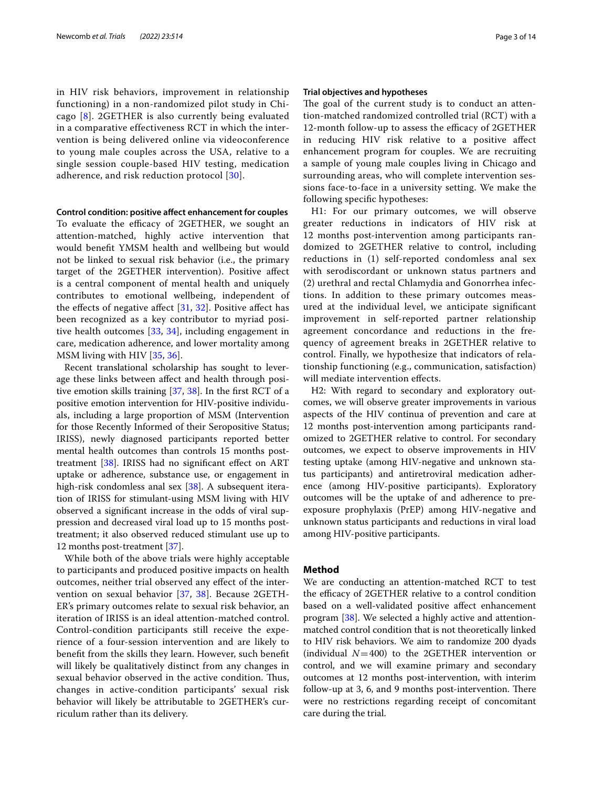in HIV risk behaviors, improvement in relationship functioning) in a non-randomized pilot study in Chicago [[8\]](#page-12-7). 2GETHER is also currently being evaluated in a comparative effectiveness RCT in which the intervention is being delivered online via videoconference to young male couples across the USA, relative to a single session couple-based HIV testing, medication adherence, and risk reduction protocol [[30](#page-12-28)].

#### **Control condition: positive afect enhancement for couples**

To evaluate the efficacy of 2GETHER, we sought an attention-matched, highly active intervention that would beneft YMSM health and wellbeing but would not be linked to sexual risk behavior (i.e., the primary target of the 2GETHER intervention). Positive afect is a central component of mental health and uniquely contributes to emotional wellbeing, independent of the effects of negative affect  $[31, 32]$  $[31, 32]$  $[31, 32]$  $[31, 32]$ . Positive affect has been recognized as a key contributor to myriad positive health outcomes [[33,](#page-12-31) [34](#page-12-32)], including engagement in care, medication adherence, and lower mortality among MSM living with HIV [\[35](#page-12-33), [36](#page-12-34)].

Recent translational scholarship has sought to leverage these links between afect and health through positive emotion skills training [\[37,](#page-12-35) [38\]](#page-12-36). In the frst RCT of a positive emotion intervention for HIV-positive individuals, including a large proportion of MSM (Intervention for those Recently Informed of their Seropositive Status; IRISS), newly diagnosed participants reported better mental health outcomes than controls 15 months posttreatment  $[38]$  $[38]$ . IRISS had no significant effect on ART uptake or adherence, substance use, or engagement in high-risk condomless anal sex [\[38](#page-12-36)]. A subsequent iteration of IRISS for stimulant-using MSM living with HIV observed a signifcant increase in the odds of viral suppression and decreased viral load up to 15 months posttreatment; it also observed reduced stimulant use up to 12 months post-treatment [\[37](#page-12-35)].

While both of the above trials were highly acceptable to participants and produced positive impacts on health outcomes, neither trial observed any efect of the intervention on sexual behavior [[37,](#page-12-35) [38](#page-12-36)]. Because 2GETH-ER's primary outcomes relate to sexual risk behavior, an iteration of IRISS is an ideal attention-matched control. Control-condition participants still receive the experience of a four-session intervention and are likely to beneft from the skills they learn. However, such beneft will likely be qualitatively distinct from any changes in sexual behavior observed in the active condition. Thus, changes in active-condition participants' sexual risk behavior will likely be attributable to 2GETHER's curriculum rather than its delivery.

#### **Trial objectives and hypotheses**

The goal of the current study is to conduct an attention-matched randomized controlled trial (RCT) with a 12-month follow-up to assess the efficacy of 2GETHER in reducing HIV risk relative to a positive afect enhancement program for couples. We are recruiting a sample of young male couples living in Chicago and surrounding areas, who will complete intervention sessions face-to-face in a university setting. We make the following specifc hypotheses:

H1: For our primary outcomes, we will observe greater reductions in indicators of HIV risk at 12 months post-intervention among participants randomized to 2GETHER relative to control, including reductions in (1) self-reported condomless anal sex with serodiscordant or unknown status partners and (2) urethral and rectal Chlamydia and Gonorrhea infections. In addition to these primary outcomes measured at the individual level, we anticipate signifcant improvement in self-reported partner relationship agreement concordance and reductions in the frequency of agreement breaks in 2GETHER relative to control. Finally, we hypothesize that indicators of relationship functioning (e.g., communication, satisfaction) will mediate intervention efects.

H2: With regard to secondary and exploratory outcomes, we will observe greater improvements in various aspects of the HIV continua of prevention and care at 12 months post-intervention among participants randomized to 2GETHER relative to control. For secondary outcomes, we expect to observe improvements in HIV testing uptake (among HIV-negative and unknown status participants) and antiretroviral medication adherence (among HIV-positive participants). Exploratory outcomes will be the uptake of and adherence to preexposure prophylaxis (PrEP) among HIV-negative and unknown status participants and reductions in viral load among HIV-positive participants.

# **Method**

We are conducting an attention-matched RCT to test the efficacy of 2GETHER relative to a control condition based on a well-validated positive afect enhancement program [\[38](#page-12-36)]. We selected a highly active and attentionmatched control condition that is not theoretically linked to HIV risk behaviors. We aim to randomize 200 dyads (individual  $N=400$ ) to the 2GETHER intervention or control, and we will examine primary and secondary outcomes at 12 months post-intervention, with interim follow-up at 3, 6, and 9 months post-intervention. There were no restrictions regarding receipt of concomitant care during the trial.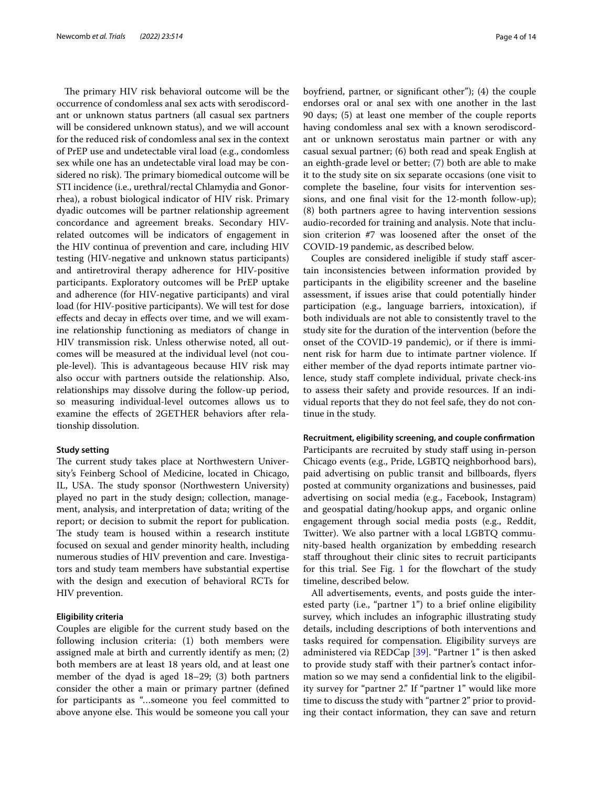The primary HIV risk behavioral outcome will be the occurrence of condomless anal sex acts with serodiscordant or unknown status partners (all casual sex partners will be considered unknown status), and we will account for the reduced risk of condomless anal sex in the context of PrEP use and undetectable viral load (e.g., condomless sex while one has an undetectable viral load may be considered no risk). The primary biomedical outcome will be STI incidence (i.e., urethral/rectal Chlamydia and Gonorrhea), a robust biological indicator of HIV risk. Primary dyadic outcomes will be partner relationship agreement concordance and agreement breaks. Secondary HIVrelated outcomes will be indicators of engagement in the HIV continua of prevention and care, including HIV testing (HIV-negative and unknown status participants) and antiretroviral therapy adherence for HIV-positive participants. Exploratory outcomes will be PrEP uptake and adherence (for HIV-negative participants) and viral load (for HIV-positive participants). We will test for dose efects and decay in efects over time, and we will examine relationship functioning as mediators of change in HIV transmission risk. Unless otherwise noted, all outcomes will be measured at the individual level (not couple-level). This is advantageous because HIV risk may also occur with partners outside the relationship. Also, relationships may dissolve during the follow-up period, so measuring individual-level outcomes allows us to examine the efects of 2GETHER behaviors after relationship dissolution.

#### **Study setting**

The current study takes place at Northwestern University's Feinberg School of Medicine, located in Chicago, IL, USA. The study sponsor (Northwestern University) played no part in the study design; collection, management, analysis, and interpretation of data; writing of the report; or decision to submit the report for publication. The study team is housed within a research institute focused on sexual and gender minority health, including numerous studies of HIV prevention and care. Investigators and study team members have substantial expertise with the design and execution of behavioral RCTs for HIV prevention.

# **Eligibility criteria**

Couples are eligible for the current study based on the following inclusion criteria: (1) both members were assigned male at birth and currently identify as men; (2) both members are at least 18 years old, and at least one member of the dyad is aged 18–29; (3) both partners consider the other a main or primary partner (defned for participants as "…someone you feel committed to above anyone else. This would be someone you call your boyfriend, partner, or signifcant other"); (4) the couple endorses oral or anal sex with one another in the last 90 days; (5) at least one member of the couple reports having condomless anal sex with a known serodiscordant or unknown serostatus main partner or with any casual sexual partner; (6) both read and speak English at an eighth-grade level or better; (7) both are able to make it to the study site on six separate occasions (one visit to complete the baseline, four visits for intervention sessions, and one fnal visit for the 12-month follow-up); (8) both partners agree to having intervention sessions audio-recorded for training and analysis. Note that inclusion criterion #7 was loosened after the onset of the COVID-19 pandemic, as described below.

Couples are considered ineligible if study staff ascertain inconsistencies between information provided by participants in the eligibility screener and the baseline assessment, if issues arise that could potentially hinder participation (e.g., language barriers, intoxication), if both individuals are not able to consistently travel to the study site for the duration of the intervention (before the onset of the COVID-19 pandemic), or if there is imminent risk for harm due to intimate partner violence. If either member of the dyad reports intimate partner violence, study staff complete individual, private check-ins to assess their safety and provide resources. If an individual reports that they do not feel safe, they do not continue in the study.

#### **Recruitment, eligibility screening, and couple confrmation**

Participants are recruited by study staff using in-person Chicago events (e.g., Pride, LGBTQ neighborhood bars), paid advertising on public transit and billboards, fyers posted at community organizations and businesses, paid advertising on social media (e.g., Facebook, Instagram) and geospatial dating/hookup apps, and organic online engagement through social media posts (e.g., Reddit, Twitter). We also partner with a local LGBTQ community-based health organization by embedding research staff throughout their clinic sites to recruit participants for this trial. See Fig. [1](#page-4-0) for the fowchart of the study timeline, described below.

All advertisements, events, and posts guide the interested party (i.e., "partner 1") to a brief online eligibility survey, which includes an infographic illustrating study details, including descriptions of both interventions and tasks required for compensation. Eligibility surveys are administered via REDCap [[39\]](#page-12-37). "Partner 1" is then asked to provide study staff with their partner's contact information so we may send a confdential link to the eligibility survey for "partner 2." If "partner 1" would like more time to discuss the study with "partner 2" prior to providing their contact information, they can save and return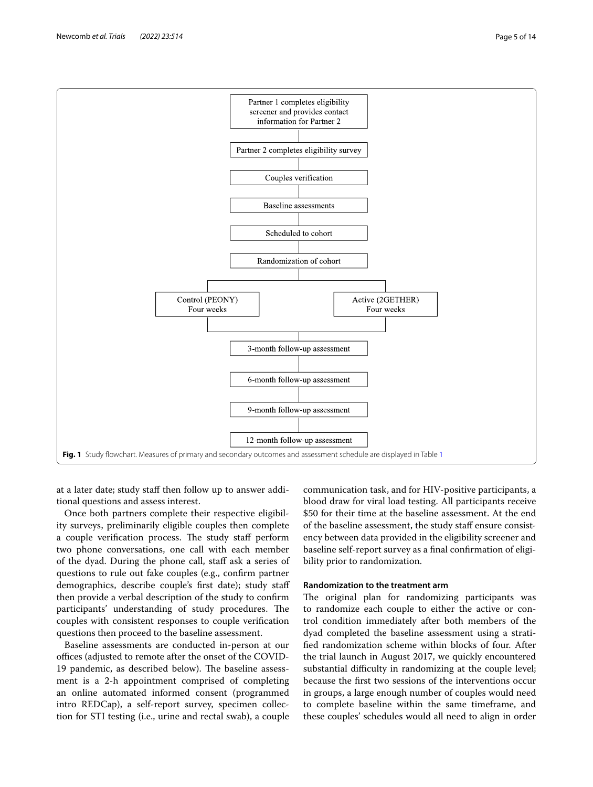

<span id="page-4-0"></span>at a later date; study staff then follow up to answer additional questions and assess interest.

Once both partners complete their respective eligibility surveys, preliminarily eligible couples then complete a couple verification process. The study staff perform two phone conversations, one call with each member of the dyad. During the phone call, staf ask a series of questions to rule out fake couples (e.g., confrm partner demographics, describe couple's frst date); study staf then provide a verbal description of the study to confrm participants' understanding of study procedures. The couples with consistent responses to couple verifcation questions then proceed to the baseline assessment.

Baseline assessments are conducted in-person at our offices (adjusted to remote after the onset of the COVID-19 pandemic, as described below). The baseline assessment is a 2-h appointment comprised of completing an online automated informed consent (programmed intro REDCap), a self-report survey, specimen collection for STI testing (i.e., urine and rectal swab), a couple

communication task, and for HIV-positive participants, a blood draw for viral load testing. All participants receive \$50 for their time at the baseline assessment. At the end of the baseline assessment, the study staff ensure consistency between data provided in the eligibility screener and baseline self-report survey as a fnal confrmation of eligibility prior to randomization.

# **Randomization to the treatment arm**

The original plan for randomizing participants was to randomize each couple to either the active or control condition immediately after both members of the dyad completed the baseline assessment using a stratifed randomization scheme within blocks of four. After the trial launch in August 2017, we quickly encountered substantial difficulty in randomizing at the couple level; because the frst two sessions of the interventions occur in groups, a large enough number of couples would need to complete baseline within the same timeframe, and these couples' schedules would all need to align in order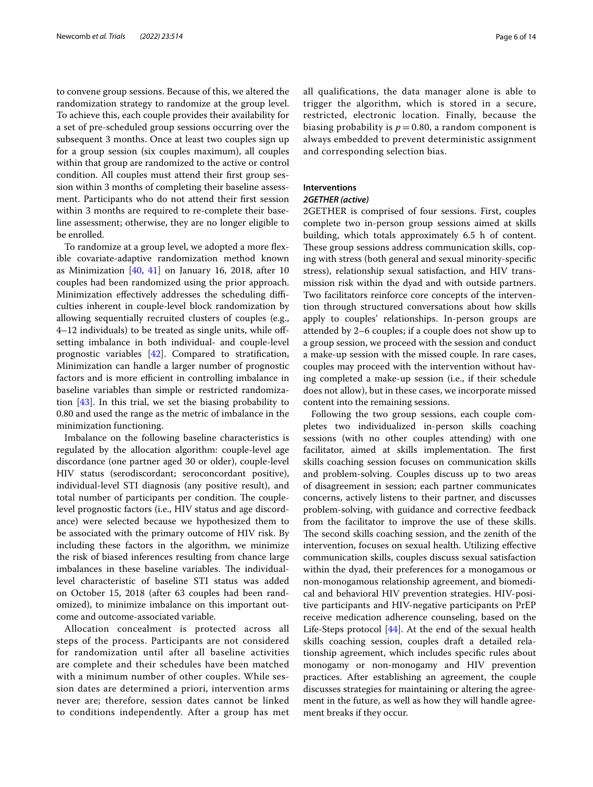to convene group sessions. Because of this, we altered the randomization strategy to randomize at the group level. To achieve this, each couple provides their availability for a set of pre-scheduled group sessions occurring over the subsequent 3 months. Once at least two couples sign up for a group session (six couples maximum), all couples within that group are randomized to the active or control condition. All couples must attend their frst group session within 3 months of completing their baseline assessment. Participants who do not attend their frst session within 3 months are required to re-complete their baseline assessment; otherwise, they are no longer eligible to be enrolled.

To randomize at a group level, we adopted a more fexible covariate-adaptive randomization method known as Minimization  $[40, 41]$  $[40, 41]$  $[40, 41]$  $[40, 41]$  on January 16, 2018, after 10 couples had been randomized using the prior approach. Minimization effectively addresses the scheduling difficulties inherent in couple-level block randomization by allowing sequentially recruited clusters of couples (e.g., 4–12 individuals) to be treated as single units, while ofsetting imbalance in both individual- and couple-level prognostic variables [[42](#page-12-40)]. Compared to stratifcation, Minimization can handle a larger number of prognostic factors and is more efficient in controlling imbalance in baseline variables than simple or restricted randomization [\[43](#page-12-41)]. In this trial, we set the biasing probability to 0.80 and used the range as the metric of imbalance in the minimization functioning.

Imbalance on the following baseline characteristics is regulated by the allocation algorithm: couple-level age discordance (one partner aged 30 or older), couple-level HIV status (serodiscordant; seroconcordant positive), individual-level STI diagnosis (any positive result), and total number of participants per condition. The couplelevel prognostic factors (i.e., HIV status and age discordance) were selected because we hypothesized them to be associated with the primary outcome of HIV risk. By including these factors in the algorithm, we minimize the risk of biased inferences resulting from chance large imbalances in these baseline variables. The individuallevel characteristic of baseline STI status was added on October 15, 2018 (after 63 couples had been randomized), to minimize imbalance on this important outcome and outcome-associated variable.

Allocation concealment is protected across all steps of the process. Participants are not considered for randomization until after all baseline activities are complete and their schedules have been matched with a minimum number of other couples. While session dates are determined a priori, intervention arms never are; therefore, session dates cannot be linked to conditions independently. After a group has met all qualifications, the data manager alone is able to trigger the algorithm, which is stored in a secure, restricted, electronic location. Finally, because the biasing probability is  $p = 0.80$ , a random component is always embedded to prevent deterministic assignment and corresponding selection bias.

# **Interventions**

# *2GETHER (active)*

2GETHER is comprised of four sessions. First, couples complete two in-person group sessions aimed at skills building, which totals approximately 6.5 h of content. These group sessions address communication skills, coping with stress (both general and sexual minority-specifc stress), relationship sexual satisfaction, and HIV transmission risk within the dyad and with outside partners. Two facilitators reinforce core concepts of the intervention through structured conversations about how skills apply to couples' relationships. In-person groups are attended by 2–6 couples; if a couple does not show up to a group session, we proceed with the session and conduct a make-up session with the missed couple. In rare cases, couples may proceed with the intervention without having completed a make-up session (i.e., if their schedule does not allow), but in these cases, we incorporate missed content into the remaining sessions.

Following the two group sessions, each couple completes two individualized in-person skills coaching sessions (with no other couples attending) with one facilitator, aimed at skills implementation. The first skills coaching session focuses on communication skills and problem-solving. Couples discuss up to two areas of disagreement in session; each partner communicates concerns, actively listens to their partner, and discusses problem-solving, with guidance and corrective feedback from the facilitator to improve the use of these skills. The second skills coaching session, and the zenith of the intervention, focuses on sexual health. Utilizing efective communication skills, couples discuss sexual satisfaction within the dyad, their preferences for a monogamous or non-monogamous relationship agreement, and biomedical and behavioral HIV prevention strategies. HIV-positive participants and HIV-negative participants on PrEP receive medication adherence counseling, based on the Life-Steps protocol [[44\]](#page-12-42). At the end of the sexual health skills coaching session, couples draft a detailed relationship agreement, which includes specifc rules about monogamy or non-monogamy and HIV prevention practices. After establishing an agreement, the couple discusses strategies for maintaining or altering the agreement in the future, as well as how they will handle agreement breaks if they occur.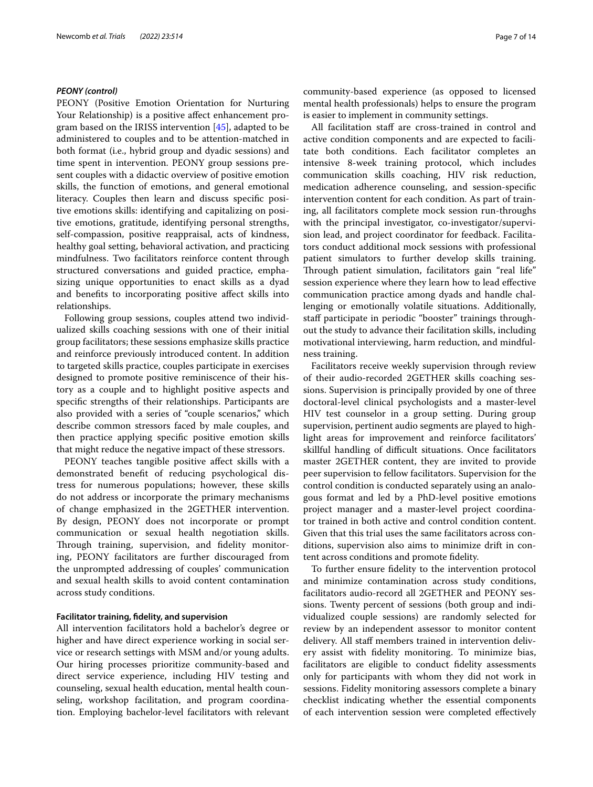## *PEONY (control)*

PEONY (Positive Emotion Orientation for Nurturing Your Relationship) is a positive affect enhancement program based on the IRISS intervention [\[45\]](#page-13-0), adapted to be administered to couples and to be attention-matched in both format (i.e., hybrid group and dyadic sessions) and time spent in intervention. PEONY group sessions present couples with a didactic overview of positive emotion skills, the function of emotions, and general emotional literacy. Couples then learn and discuss specifc positive emotions skills: identifying and capitalizing on positive emotions, gratitude, identifying personal strengths, self-compassion, positive reappraisal, acts of kindness, healthy goal setting, behavioral activation, and practicing mindfulness. Two facilitators reinforce content through structured conversations and guided practice, emphasizing unique opportunities to enact skills as a dyad and benefts to incorporating positive afect skills into relationships.

Following group sessions, couples attend two individualized skills coaching sessions with one of their initial group facilitators; these sessions emphasize skills practice and reinforce previously introduced content. In addition to targeted skills practice, couples participate in exercises designed to promote positive reminiscence of their history as a couple and to highlight positive aspects and specifc strengths of their relationships. Participants are also provided with a series of "couple scenarios," which describe common stressors faced by male couples, and then practice applying specifc positive emotion skills that might reduce the negative impact of these stressors.

PEONY teaches tangible positive affect skills with a demonstrated beneft of reducing psychological distress for numerous populations; however, these skills do not address or incorporate the primary mechanisms of change emphasized in the 2GETHER intervention. By design, PEONY does not incorporate or prompt communication or sexual health negotiation skills. Through training, supervision, and fidelity monitoring, PEONY facilitators are further discouraged from the unprompted addressing of couples' communication and sexual health skills to avoid content contamination across study conditions.

# **Facilitator training, fdelity, and supervision**

All intervention facilitators hold a bachelor's degree or higher and have direct experience working in social service or research settings with MSM and/or young adults. Our hiring processes prioritize community-based and direct service experience, including HIV testing and counseling, sexual health education, mental health counseling, workshop facilitation, and program coordination. Employing bachelor-level facilitators with relevant community-based experience (as opposed to licensed mental health professionals) helps to ensure the program is easier to implement in community settings.

All facilitation staff are cross-trained in control and active condition components and are expected to facilitate both conditions. Each facilitator completes an intensive 8-week training protocol, which includes communication skills coaching, HIV risk reduction, medication adherence counseling, and session-specifc intervention content for each condition. As part of training, all facilitators complete mock session run-throughs with the principal investigator, co-investigator/supervision lead, and project coordinator for feedback. Facilitators conduct additional mock sessions with professional patient simulators to further develop skills training. Through patient simulation, facilitators gain "real life" session experience where they learn how to lead efective communication practice among dyads and handle challenging or emotionally volatile situations. Additionally, staff participate in periodic "booster" trainings throughout the study to advance their facilitation skills, including motivational interviewing, harm reduction, and mindfulness training.

Facilitators receive weekly supervision through review of their audio-recorded 2GETHER skills coaching sessions. Supervision is principally provided by one of three doctoral-level clinical psychologists and a master-level HIV test counselor in a group setting. During group supervision, pertinent audio segments are played to highlight areas for improvement and reinforce facilitators' skillful handling of difficult situations. Once facilitators master 2GETHER content, they are invited to provide peer supervision to fellow facilitators. Supervision for the control condition is conducted separately using an analogous format and led by a PhD-level positive emotions project manager and a master-level project coordinator trained in both active and control condition content. Given that this trial uses the same facilitators across conditions, supervision also aims to minimize drift in content across conditions and promote fdelity.

To further ensure fdelity to the intervention protocol and minimize contamination across study conditions, facilitators audio-record all 2GETHER and PEONY sessions. Twenty percent of sessions (both group and individualized couple sessions) are randomly selected for review by an independent assessor to monitor content delivery. All staf members trained in intervention delivery assist with fdelity monitoring. To minimize bias, facilitators are eligible to conduct fdelity assessments only for participants with whom they did not work in sessions. Fidelity monitoring assessors complete a binary checklist indicating whether the essential components of each intervention session were completed efectively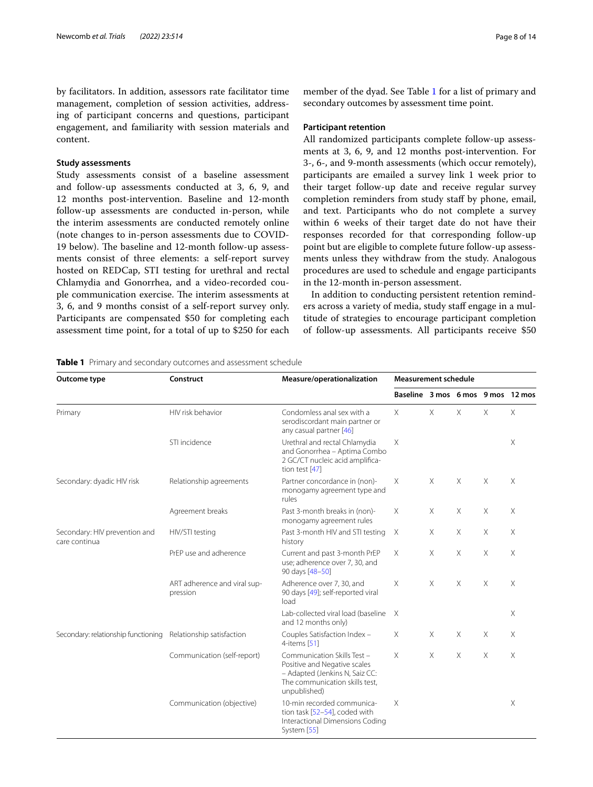by facilitators. In addition, assessors rate facilitator time management, completion of session activities, addressing of participant concerns and questions, participant engagement, and familiarity with session materials and content.

# **Study assessments**

Study assessments consist of a baseline assessment and follow-up assessments conducted at 3, 6, 9, and 12 months post-intervention. Baseline and 12-month follow-up assessments are conducted in-person, while the interim assessments are conducted remotely online (note changes to in-person assessments due to COVID-19 below). The baseline and 12-month follow-up assessments consist of three elements: a self-report survey hosted on REDCap, STI testing for urethral and rectal Chlamydia and Gonorrhea, and a video-recorded couple communication exercise. The interim assessments at 3, 6, and 9 months consist of a self-report survey only. Participants are compensated \$50 for completing each assessment time point, for a total of up to \$250 for each

member of the dyad. See Table [1](#page-7-0) for a list of primary and secondary outcomes by assessment time point.

#### **Participant retention**

All randomized participants complete follow-up assessments at 3, 6, 9, and 12 months post-intervention. For 3-, 6-, and 9-month assessments (which occur remotely), participants are emailed a survey link 1 week prior to their target follow-up date and receive regular survey completion reminders from study staf by phone, email, and text. Participants who do not complete a survey within 6 weeks of their target date do not have their responses recorded for that corresponding follow-up point but are eligible to complete future follow-up assessments unless they withdraw from the study. Analogous procedures are used to schedule and engage participants in the 12-month in-person assessment.

In addition to conducting persistent retention reminders across a variety of media, study staff engage in a multitude of strategies to encourage participant completion of follow-up assessments. All participants receive \$50

<span id="page-7-0"></span>

| Outcome type                                                  | Construct                                | Measure/operationalization                                                                                                                      | <b>Measurement schedule</b>       |          |          |          |   |
|---------------------------------------------------------------|------------------------------------------|-------------------------------------------------------------------------------------------------------------------------------------------------|-----------------------------------|----------|----------|----------|---|
|                                                               |                                          |                                                                                                                                                 | Baseline 3 mos 6 mos 9 mos 12 mos |          |          |          |   |
| Primary                                                       | HIV risk behavior                        | Condomless anal sex with a<br>serodiscordant main partner or<br>any casual partner [46]                                                         | $\times$                          | $\times$ | $\times$ | $\times$ | X |
|                                                               | STI incidence                            | Urethral and rectal Chlamydia<br>and Gonorrhea - Aptima Combo<br>2 GC/CT nucleic acid amplifica-<br>tion test $[47]$                            | X                                 |          |          |          | Χ |
| Secondary: dyadic HIV risk                                    | Relationship agreements                  | Partner concordance in (non)-<br>monogamy agreement type and<br>rules                                                                           | X                                 | $\times$ | $\times$ | X        | X |
|                                                               | Agreement breaks                         | Past 3-month breaks in (non)-<br>monogamy agreement rules                                                                                       | $\times$                          | $\times$ | X        | $\times$ | X |
| Secondary: HIV prevention and<br>care continua                | HIV/STI testing                          | Past 3-month HIV and STI testing<br>history                                                                                                     | Χ                                 | X        | X        | X        | X |
|                                                               | PrEP use and adherence                   | Current and past 3-month PrEP<br>use; adherence over 7, 30, and<br>90 days [48-50]                                                              | Χ                                 | X        | X        | X        | X |
|                                                               | ART adherence and viral sup-<br>pression | Adherence over 7, 30, and<br>90 days [49]; self-reported viral<br>load                                                                          | X                                 | X        | X        | X        | X |
|                                                               |                                          | Lab-collected viral load (baseline<br>and 12 months only)                                                                                       | $\mathsf{X}$                      |          |          |          | X |
| Secondary: relationship functioning Relationship satisfaction |                                          | Couples Satisfaction Index -<br>4-items [51]                                                                                                    | X                                 | $\times$ | X        | X        | X |
|                                                               | Communication (self-report)              | Communication Skills Test -<br>Positive and Negative scales<br>- Adapted (Jenkins N, Saiz CC:<br>The communication skills test,<br>unpublished) | $\times$                          | $\times$ | $\times$ | X        | X |
|                                                               | Communication (objective)                | 10-min recorded communica-<br>tion task [52-54], coded with<br>Interactional Dimensions Coding<br>System [55]                                   | $\times$                          |          |          |          | X |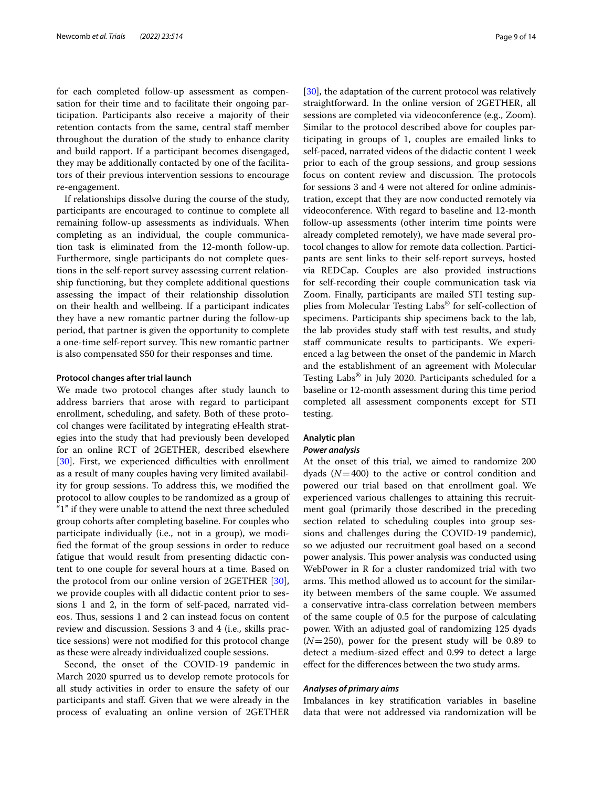for each completed follow-up assessment as compensation for their time and to facilitate their ongoing participation. Participants also receive a majority of their retention contacts from the same, central staf member throughout the duration of the study to enhance clarity and build rapport. If a participant becomes disengaged, they may be additionally contacted by one of the facilitators of their previous intervention sessions to encourage re-engagement.

If relationships dissolve during the course of the study, participants are encouraged to continue to complete all remaining follow-up assessments as individuals. When completing as an individual, the couple communication task is eliminated from the 12-month follow-up. Furthermore, single participants do not complete questions in the self-report survey assessing current relationship functioning, but they complete additional questions assessing the impact of their relationship dissolution on their health and wellbeing. If a participant indicates they have a new romantic partner during the follow-up period, that partner is given the opportunity to complete a one-time self-report survey. This new romantic partner is also compensated \$50 for their responses and time.

#### **Protocol changes after trial launch**

We made two protocol changes after study launch to address barriers that arose with regard to participant enrollment, scheduling, and safety. Both of these protocol changes were facilitated by integrating eHealth strategies into the study that had previously been developed for an online RCT of 2GETHER, described elsewhere [[30\]](#page-12-28). First, we experienced difficulties with enrollment as a result of many couples having very limited availability for group sessions. To address this, we modifed the protocol to allow couples to be randomized as a group of "1" if they were unable to attend the next three scheduled group cohorts after completing baseline. For couples who participate individually (i.e., not in a group), we modifed the format of the group sessions in order to reduce fatigue that would result from presenting didactic content to one couple for several hours at a time. Based on the protocol from our online version of 2GETHER [\[30](#page-12-28)], we provide couples with all didactic content prior to sessions 1 and 2, in the form of self-paced, narrated videos. Thus, sessions 1 and 2 can instead focus on content review and discussion. Sessions 3 and 4 (i.e., skills practice sessions) were not modifed for this protocol change as these were already individualized couple sessions.

Second, the onset of the COVID-19 pandemic in March 2020 spurred us to develop remote protocols for all study activities in order to ensure the safety of our participants and staf. Given that we were already in the process of evaluating an online version of 2GETHER [[30\]](#page-12-28), the adaptation of the current protocol was relatively straightforward. In the online version of 2GETHER, all sessions are completed via videoconference (e.g., Zoom). Similar to the protocol described above for couples participating in groups of 1, couples are emailed links to self-paced, narrated videos of the didactic content 1 week prior to each of the group sessions, and group sessions focus on content review and discussion. The protocols for sessions 3 and 4 were not altered for online administration, except that they are now conducted remotely via videoconference. With regard to baseline and 12-month follow-up assessments (other interim time points were already completed remotely), we have made several protocol changes to allow for remote data collection. Participants are sent links to their self-report surveys, hosted via REDCap. Couples are also provided instructions for self-recording their couple communication task via Zoom. Finally, participants are mailed STI testing supplies from Molecular Testing Labs® for self-collection of specimens. Participants ship specimens back to the lab, the lab provides study staff with test results, and study staff communicate results to participants. We experienced a lag between the onset of the pandemic in March and the establishment of an agreement with Molecular Testing Labs® in July 2020. Participants scheduled for a baseline or 12-month assessment during this time period completed all assessment components except for STI testing.

#### **Analytic plan**

#### *Power analysis*

At the onset of this trial, we aimed to randomize 200 dyads (*N*=400) to the active or control condition and powered our trial based on that enrollment goal. We experienced various challenges to attaining this recruitment goal (primarily those described in the preceding section related to scheduling couples into group sessions and challenges during the COVID-19 pandemic), so we adjusted our recruitment goal based on a second power analysis. This power analysis was conducted using WebPower in R for a cluster randomized trial with two arms. This method allowed us to account for the similarity between members of the same couple. We assumed a conservative intra-class correlation between members of the same couple of 0.5 for the purpose of calculating power. With an adjusted goal of randomizing 125 dyads  $(N=250)$ , power for the present study will be 0.89 to detect a medium-sized efect and 0.99 to detect a large efect for the diferences between the two study arms.

## *Analyses of primary aims*

Imbalances in key stratifcation variables in baseline data that were not addressed via randomization will be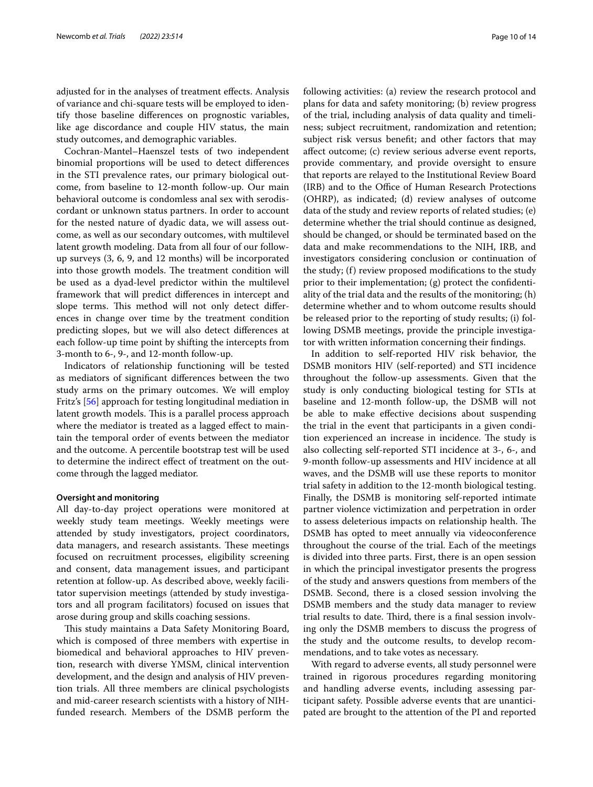adjusted for in the analyses of treatment efects. Analysis of variance and chi-square tests will be employed to identify those baseline diferences on prognostic variables, like age discordance and couple HIV status, the main study outcomes, and demographic variables.

Cochran-Mantel–Haenszel tests of two independent binomial proportions will be used to detect diferences in the STI prevalence rates, our primary biological outcome, from baseline to 12-month follow-up. Our main behavioral outcome is condomless anal sex with serodiscordant or unknown status partners. In order to account for the nested nature of dyadic data, we will assess outcome, as well as our secondary outcomes, with multilevel latent growth modeling. Data from all four of our followup surveys (3, 6, 9, and 12 months) will be incorporated into those growth models. The treatment condition will be used as a dyad-level predictor within the multilevel framework that will predict diferences in intercept and slope terms. This method will not only detect differences in change over time by the treatment condition predicting slopes, but we will also detect diferences at each follow-up time point by shifting the intercepts from 3-month to 6-, 9-, and 12-month follow-up.

Indicators of relationship functioning will be tested as mediators of signifcant diferences between the two study arms on the primary outcomes. We will employ Fritz's [[56\]](#page-13-10) approach for testing longitudinal mediation in latent growth models. This is a parallel process approach where the mediator is treated as a lagged effect to maintain the temporal order of events between the mediator and the outcome. A percentile bootstrap test will be used to determine the indirect efect of treatment on the outcome through the lagged mediator.

#### **Oversight and monitoring**

All day-to-day project operations were monitored at weekly study team meetings. Weekly meetings were attended by study investigators, project coordinators, data managers, and research assistants. These meetings focused on recruitment processes, eligibility screening and consent, data management issues, and participant retention at follow-up. As described above, weekly facilitator supervision meetings (attended by study investigators and all program facilitators) focused on issues that arose during group and skills coaching sessions.

This study maintains a Data Safety Monitoring Board, which is composed of three members with expertise in biomedical and behavioral approaches to HIV prevention, research with diverse YMSM, clinical intervention development, and the design and analysis of HIV prevention trials. All three members are clinical psychologists and mid-career research scientists with a history of NIHfunded research. Members of the DSMB perform the following activities: (a) review the research protocol and plans for data and safety monitoring; (b) review progress of the trial, including analysis of data quality and timeliness; subject recruitment, randomization and retention; subject risk versus beneft; and other factors that may afect outcome; (c) review serious adverse event reports, provide commentary, and provide oversight to ensure that reports are relayed to the Institutional Review Board (IRB) and to the Office of Human Research Protections (OHRP), as indicated; (d) review analyses of outcome data of the study and review reports of related studies; (e) determine whether the trial should continue as designed, should be changed, or should be terminated based on the data and make recommendations to the NIH, IRB, and investigators considering conclusion or continuation of the study; (f) review proposed modifcations to the study prior to their implementation; (g) protect the confdentiality of the trial data and the results of the monitoring; (h) determine whether and to whom outcome results should be released prior to the reporting of study results; (i) following DSMB meetings, provide the principle investigator with written information concerning their fndings.

In addition to self-reported HIV risk behavior, the DSMB monitors HIV (self-reported) and STI incidence throughout the follow-up assessments. Given that the study is only conducting biological testing for STIs at baseline and 12-month follow-up, the DSMB will not be able to make efective decisions about suspending the trial in the event that participants in a given condition experienced an increase in incidence. The study is also collecting self-reported STI incidence at 3-, 6-, and 9-month follow-up assessments and HIV incidence at all waves, and the DSMB will use these reports to monitor trial safety in addition to the 12-month biological testing. Finally, the DSMB is monitoring self-reported intimate partner violence victimization and perpetration in order to assess deleterious impacts on relationship health. The DSMB has opted to meet annually via videoconference throughout the course of the trial. Each of the meetings is divided into three parts. First, there is an open session in which the principal investigator presents the progress of the study and answers questions from members of the DSMB. Second, there is a closed session involving the DSMB members and the study data manager to review trial results to date. Third, there is a final session involving only the DSMB members to discuss the progress of the study and the outcome results, to develop recommendations, and to take votes as necessary.

With regard to adverse events, all study personnel were trained in rigorous procedures regarding monitoring and handling adverse events, including assessing participant safety. Possible adverse events that are unanticipated are brought to the attention of the PI and reported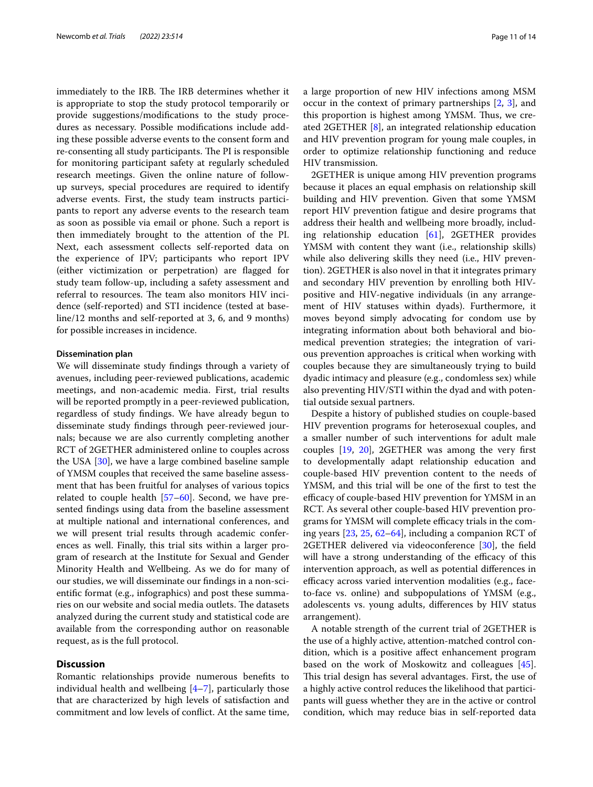immediately to the IRB. The IRB determines whether it is appropriate to stop the study protocol temporarily or provide suggestions/modifcations to the study procedures as necessary. Possible modifcations include adding these possible adverse events to the consent form and re-consenting all study participants. The PI is responsible for monitoring participant safety at regularly scheduled research meetings. Given the online nature of followup surveys, special procedures are required to identify adverse events. First, the study team instructs participants to report any adverse events to the research team as soon as possible via email or phone. Such a report is then immediately brought to the attention of the PI. Next, each assessment collects self-reported data on the experience of IPV; participants who report IPV (either victimization or perpetration) are fagged for study team follow-up, including a safety assessment and referral to resources. The team also monitors HIV incidence (self-reported) and STI incidence (tested at baseline/12 months and self-reported at 3, 6, and 9 months) for possible increases in incidence.

## **Dissemination plan**

We will disseminate study fndings through a variety of avenues, including peer-reviewed publications, academic meetings, and non-academic media. First, trial results will be reported promptly in a peer-reviewed publication, regardless of study fndings. We have already begun to disseminate study fndings through peer-reviewed journals; because we are also currently completing another RCT of 2GETHER administered online to couples across the USA [[30\]](#page-12-28), we have a large combined baseline sample of YMSM couples that received the same baseline assessment that has been fruitful for analyses of various topics related to couple health  $[57–60]$  $[57–60]$  $[57–60]$  $[57–60]$ . Second, we have presented fndings using data from the baseline assessment at multiple national and international conferences, and we will present trial results through academic conferences as well. Finally, this trial sits within a larger program of research at the Institute for Sexual and Gender Minority Health and Wellbeing. As we do for many of our studies, we will disseminate our fndings in a non-scientifc format (e.g., infographics) and post these summaries on our website and social media outlets. The datasets analyzed during the current study and statistical code are available from the corresponding author on reasonable request, as is the full protocol.

# **Discussion**

Romantic relationships provide numerous benefts to individual health and wellbeing  $[4-7]$  $[4-7]$  $[4-7]$ , particularly those that are characterized by high levels of satisfaction and commitment and low levels of confict. At the same time, a large proportion of new HIV infections among MSM occur in the context of primary partnerships [\[2,](#page-12-1) [3\]](#page-12-2), and this proportion is highest among YMSM. Thus, we created 2GETHER [\[8\]](#page-12-7), an integrated relationship education and HIV prevention program for young male couples, in order to optimize relationship functioning and reduce HIV transmission.

2GETHER is unique among HIV prevention programs because it places an equal emphasis on relationship skill building and HIV prevention. Given that some YMSM report HIV prevention fatigue and desire programs that address their health and wellbeing more broadly, including relationship education [[61\]](#page-13-13), 2GETHER provides YMSM with content they want (i.e., relationship skills) while also delivering skills they need (i.e., HIV prevention). 2GETHER is also novel in that it integrates primary and secondary HIV prevention by enrolling both HIVpositive and HIV-negative individuals (in any arrangement of HIV statuses within dyads). Furthermore, it moves beyond simply advocating for condom use by integrating information about both behavioral and biomedical prevention strategies; the integration of various prevention approaches is critical when working with couples because they are simultaneously trying to build dyadic intimacy and pleasure (e.g., condomless sex) while also preventing HIV/STI within the dyad and with potential outside sexual partners.

Despite a history of published studies on couple-based HIV prevention programs for heterosexual couples, and a smaller number of such interventions for adult male couples [[19,](#page-12-17) [20](#page-12-18)], 2GETHER was among the very frst to developmentally adapt relationship education and couple-based HIV prevention content to the needs of YMSM, and this trial will be one of the frst to test the efficacy of couple-based HIV prevention for YMSM in an RCT. As several other couple-based HIV prevention programs for YMSM will complete efficacy trials in the coming years [\[23](#page-12-21), [25](#page-12-23), [62–](#page-13-14)[64\]](#page-13-15), including a companion RCT of 2GETHER delivered via videoconference [\[30](#page-12-28)], the field will have a strong understanding of the efficacy of this intervention approach, as well as potential diferences in efficacy across varied intervention modalities (e.g., faceto-face vs. online) and subpopulations of YMSM (e.g., adolescents vs. young adults, diferences by HIV status arrangement).

A notable strength of the current trial of 2GETHER is the use of a highly active, attention-matched control condition, which is a positive afect enhancement program based on the work of Moskowitz and colleagues [\[45](#page-13-0)]. This trial design has several advantages. First, the use of a highly active control reduces the likelihood that participants will guess whether they are in the active or control condition, which may reduce bias in self-reported data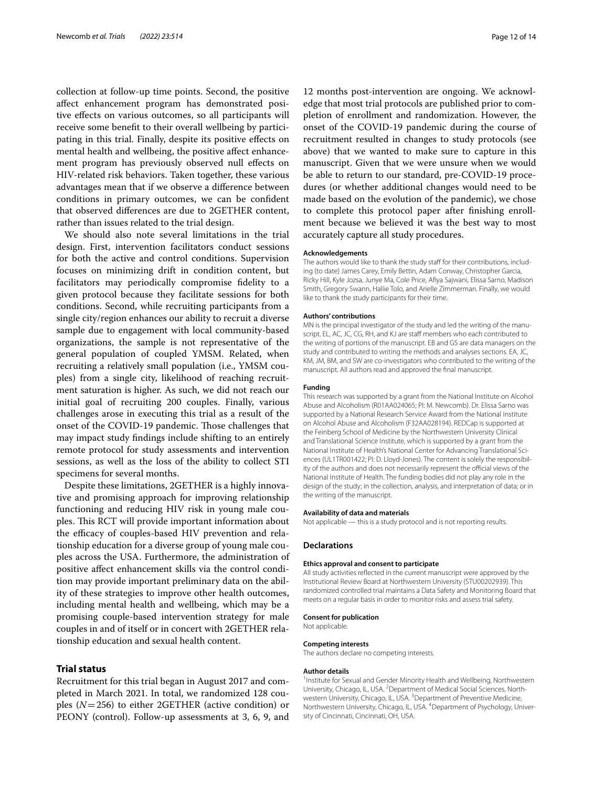collection at follow-up time points. Second, the positive afect enhancement program has demonstrated positive efects on various outcomes, so all participants will receive some beneft to their overall wellbeing by participating in this trial. Finally, despite its positive effects on mental health and wellbeing, the positive affect enhancement program has previously observed null efects on HIV-related risk behaviors. Taken together, these various advantages mean that if we observe a diference between conditions in primary outcomes, we can be confdent that observed diferences are due to 2GETHER content, rather than issues related to the trial design.

We should also note several limitations in the trial design. First, intervention facilitators conduct sessions for both the active and control conditions. Supervision focuses on minimizing drift in condition content, but facilitators may periodically compromise fdelity to a given protocol because they facilitate sessions for both conditions. Second, while recruiting participants from a single city/region enhances our ability to recruit a diverse sample due to engagement with local community-based organizations, the sample is not representative of the general population of coupled YMSM. Related, when recruiting a relatively small population (i.e., YMSM couples) from a single city, likelihood of reaching recruitment saturation is higher. As such, we did not reach our initial goal of recruiting 200 couples. Finally, various challenges arose in executing this trial as a result of the onset of the COVID-19 pandemic. Those challenges that may impact study fndings include shifting to an entirely remote protocol for study assessments and intervention sessions, as well as the loss of the ability to collect STI specimens for several months.

Despite these limitations, 2GETHER is a highly innovative and promising approach for improving relationship functioning and reducing HIV risk in young male couples. This RCT will provide important information about the efficacy of couples-based HIV prevention and relationship education for a diverse group of young male couples across the USA. Furthermore, the administration of positive afect enhancement skills via the control condition may provide important preliminary data on the ability of these strategies to improve other health outcomes, including mental health and wellbeing, which may be a promising couple-based intervention strategy for male couples in and of itself or in concert with 2GETHER relationship education and sexual health content.

# **Trial status**

Recruitment for this trial began in August 2017 and completed in March 2021. In total, we randomized 128 couples (*N*=256) to either 2GETHER (active condition) or PEONY (control). Follow-up assessments at 3, 6, 9, and

12 months post-intervention are ongoing. We acknowledge that most trial protocols are published prior to completion of enrollment and randomization. However, the onset of the COVID-19 pandemic during the course of recruitment resulted in changes to study protocols (see above) that we wanted to make sure to capture in this manuscript. Given that we were unsure when we would be able to return to our standard, pre-COVID-19 procedures (or whether additional changes would need to be made based on the evolution of the pandemic), we chose to complete this protocol paper after fnishing enrollment because we believed it was the best way to most accurately capture all study procedures.

#### **Acknowledgements**

The authors would like to thank the study staff for their contributions, including (to date) James Carey, Emily Bettin, Adam Conway, Christopher Garcia, Ricky Hill, Kyle Jozsa, Junye Ma, Cole Price, Afya Sajwani, Elissa Sarno, Madison Smith, Gregory Swann, Hallie Tolo, and Arielle Zimmerman. Finally, we would like to thank the study participants for their time.

#### **Authors' contributions**

MN is the principal investigator of the study and led the writing of the manuscript. EL, AC, JC, CG, RH, and KJ are staff members who each contributed to the writing of portions of the manuscript. EB and GS are data managers on the study and contributed to writing the methods and analyses sections. EA, JC, KM, JM, BM, and SW are co-investigators who contributed to the writing of the manuscript. All authors read and approved the fnal manuscript.

#### **Funding**

This research was supported by a grant from the National Institute on Alcohol Abuse and Alcoholism (R01AA024065; PI: M. Newcomb). Dr. Elissa Sarno was supported by a National Research Service Award from the National Institute on Alcohol Abuse and Alcoholism (F32AA028194). REDCap is supported at the Feinberg School of Medicine by the Northwestern University Clinical and Translational Science Institute, which is supported by a grant from the National Institute of Health's National Center for Advancing Translational Sciences (UL1TR001422; PI: D. Lloyd-Jones). The content is solely the responsibility of the authors and does not necessarily represent the official views of the National Institute of Health. The funding bodies did not play any role in the design of the study; in the collection, analysis, and interpretation of data; or in the writing of the manuscript.

#### **Availability of data and materials**

Not applicable — this is a study protocol and is not reporting results.

#### **Declarations**

#### **Ethics approval and consent to participate**

All study activities refected in the current manuscript were approved by the Institutional Review Board at Northwestern University (STU00202939). This randomized controlled trial maintains a Data Safety and Monitoring Board that meets on a regular basis in order to monitor risks and assess trial safety.

#### **Consent for publication**

Not applicable.

#### **Competing interests**

The authors declare no competing interests.

#### **Author details**

<sup>1</sup> Institute for Sexual and Gender Minority Health and Wellbeing, Northwestern University, Chicago, IL, USA. <sup>2</sup> Department of Medical Social Sciences, Northwestern University, Chicago, IL, USA.<sup>3</sup> Department of Preventive Medicine, Northwestern University, Chicago, IL, USA. <sup>4</sup>Department of Psychology, University of Cincinnati, Cincinnati, OH, USA.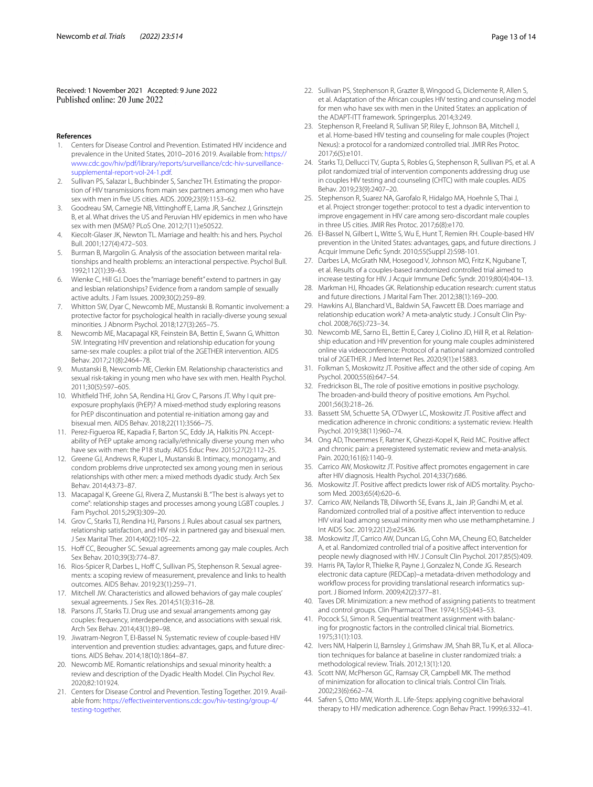Received: 1 November 2021 Accepted: 9 June 2022

#### **References**

- <span id="page-12-0"></span>1. Centers for Disease Control and Prevention. Estimated HIV incidence and prevalence in the United States, 2010–2016 2019. Available from: [https://](https://www.cdc.gov/hiv/pdf/library/reports/surveillance/cdc-hiv-surveillance-supplemental-report-vol-24-1.pdf) [www.cdc.gov/hiv/pdf/library/reports/surveillance/cdc-hiv-surveillance](https://www.cdc.gov/hiv/pdf/library/reports/surveillance/cdc-hiv-surveillance-supplemental-report-vol-24-1.pdf)[supplemental-report-vol-24-1.pdf.](https://www.cdc.gov/hiv/pdf/library/reports/surveillance/cdc-hiv-surveillance-supplemental-report-vol-24-1.pdf)
- <span id="page-12-1"></span>2. Sullivan PS, Salazar L, Buchbinder S, Sanchez TH. Estimating the proportion of HIV transmissions from main sex partners among men who have sex with men in fve US cities. AIDS. 2009;23(9):1153–62.
- <span id="page-12-2"></span>3. Goodreau SM, Carnegie NB, Vittinghoff E, Lama JR, Sanchez J, Grinsztejn B, et al. What drives the US and Peruvian HIV epidemics in men who have sex with men (MSM)? PLoS One. 2012;7(11):e50522.
- <span id="page-12-3"></span>Kiecolt-Glaser JK, Newton TL. Marriage and health: his and hers. Psychol Bull. 2001;127(4):472–503.
- <span id="page-12-4"></span>5. Burman B, Margolin G. Analysis of the association between marital relationships and health problems: an interactional perspective. Psychol Bull. 1992;112(1):39–63.
- <span id="page-12-5"></span>6. Wienke C, Hill GJ. Does the "marriage beneft" extend to partners in gay and lesbian relationships? Evidence from a random sample of sexually active adults. J Fam Issues. 2009;30(2):259–89.
- <span id="page-12-6"></span>7. Whitton SW, Dyar C, Newcomb ME, Mustanski B. Romantic involvement: a protective factor for psychological health in racially-diverse young sexual minorities. J Abnorm Psychol. 2018;127(3):265–75.
- <span id="page-12-7"></span>8. Newcomb ME, Macapagal KR, Feinstein BA, Bettin E, Swann G, Whitton SW. Integrating HIV prevention and relationship education for young same-sex male couples: a pilot trial of the 2GETHER intervention. AIDS Behav. 2017;21(8):2464–78.
- <span id="page-12-8"></span>9. Mustanski B, Newcomb ME, Clerkin EM. Relationship characteristics and sexual risk-taking in young men who have sex with men. Health Psychol. 2011;30(5):597–605.
- 10. Whitfeld THF, John SA, Rendina HJ, Grov C, Parsons JT. Why I quit preexposure prophylaxis (PrEP)? A mixed-method study exploring reasons for PrEP discontinuation and potential re-initiation among gay and bisexual men. AIDS Behav. 2018;22(11):3566–75.
- <span id="page-12-9"></span>11. Perez-Figueroa RE, Kapadia F, Barton SC, Eddy JA, Halkitis PN. Acceptability of PrEP uptake among racially/ethnically diverse young men who have sex with men: the P18 study. AIDS Educ Prev. 2015;27(2):112–25.
- <span id="page-12-10"></span>12. Greene GJ, Andrews R, Kuper L, Mustanski B. Intimacy, monogamy, and condom problems drive unprotected sex among young men in serious relationships with other men: a mixed methods dyadic study. Arch Sex Behav. 2014;43:73–87.
- <span id="page-12-11"></span>13. Macapagal K, Greene GJ, Rivera Z, Mustanski B. "The best is always yet to come": relationship stages and processes among young LGBT couples. J Fam Psychol. 2015;29(3):309–20.
- <span id="page-12-12"></span>14. Grov C, Starks TJ, Rendina HJ, Parsons J. Rules about casual sex partners, relationship satisfaction, and HIV risk in partnered gay and bisexual men. J Sex Marital Ther. 2014;40(2):105–22.
- <span id="page-12-13"></span>15. Hoff CC, Beougher SC. Sexual agreements among gay male couples. Arch Sex Behav. 2010;39(3):774–87.
- <span id="page-12-14"></span>16. Rios-Spicer R, Darbes L, Hoff C, Sullivan PS, Stephenson R. Sexual agreements: a scoping review of measurement, prevalence and links to health outcomes. AIDS Behav. 2019;23(1):259–71.
- <span id="page-12-15"></span>17. Mitchell JW. Characteristics and allowed behaviors of gay male couples' sexual agreements. J Sex Res. 2014;51(3):316–28.
- <span id="page-12-16"></span>18. Parsons JT, Starks TJ. Drug use and sexual arrangements among gay couples: frequency, interdependence, and associations with sexual risk. Arch Sex Behav. 2014;43(1):89–98.
- <span id="page-12-17"></span>19. Jiwatram-Negron T, El-Bassel N. Systematic review of couple-based HIV intervention and prevention studies: advantages, gaps, and future directions. AIDS Behav. 2014;18(10):1864–87.
- <span id="page-12-18"></span>20. Newcomb ME. Romantic relationships and sexual minority health: a review and description of the Dyadic Health Model. Clin Psychol Rev. 2020;82:101924.
- <span id="page-12-19"></span>21. Centers for Disease Control and Prevention. Testing Together. 2019. Available from: [https://efectiveinterventions.cdc.gov/hiv-testing/group-4/](https://effectiveinterventions.cdc.gov/hiv-testing/group-4/testing-together) [testing-together](https://effectiveinterventions.cdc.gov/hiv-testing/group-4/testing-together).
- <span id="page-12-20"></span>22. Sullivan PS, Stephenson R, Grazter B, Wingood G, Diclemente R, Allen S, et al. Adaptation of the African couples HIV testing and counseling model for men who have sex with men in the United States: an application of the ADAPT-ITT framework. Springerplus. 2014;3:249.
- <span id="page-12-21"></span>23. Stephenson R, Freeland R, Sullivan SP, Riley E, Johnson BA, Mitchell J, et al. Home-based HIV testing and counseling for male couples (Project Nexus): a protocol for a randomized controlled trial. JMIR Res Protoc. 2017;6(5):e101.
- <span id="page-12-22"></span>24. Starks TJ, Dellucci TV, Gupta S, Robles G, Stephenson R, Sullivan PS, et al. A pilot randomized trial of intervention components addressing drug use in couples HIV testing and counseling (CHTC) with male couples. AIDS Behav. 2019;23(9):2407–20.
- <span id="page-12-23"></span>25. Stephenson R, Suarez NA, Garofalo R, Hidalgo MA, Hoehnle S, Thai J, et al. Project stronger together: protocol to test a dyadic intervention to improve engagement in HIV care among sero-discordant male couples in three US cities. JMIR Res Protoc. 2017;6(8):e170.
- <span id="page-12-24"></span>26. El-Bassel N, Gilbert L, Witte S, Wu E, Hunt T, Remien RH. Couple-based HIV prevention in the United States: advantages, gaps, and future directions. J Acquir Immune Defc Syndr. 2010;55(Suppl 2):S98-101.
- <span id="page-12-25"></span>27. Darbes LA, McGrath NM, Hosegood V, Johnson MO, Fritz K, Ngubane T, et al. Results of a couples-based randomized controlled trial aimed to increase testing for HIV. J Acquir Immune Defc Syndr. 2019;80(4):404–13.
- <span id="page-12-26"></span>28. Markman HJ, Rhoades GK. Relationship education research: current status and future directions. J Marital Fam Ther. 2012;38(1):169–200.
- <span id="page-12-27"></span>29. Hawkins AJ, Blanchard VL, Baldwin SA, Fawcett EB. Does marriage and relationship education work? A meta-analytic study. J Consult Clin Psychol. 2008;76(5):723–34.
- <span id="page-12-28"></span>30. Newcomb ME, Sarno EL, Bettin E, Carey J, Ciolino JD, Hill R, et al. Relationship education and HIV prevention for young male couples administered online via videoconference: Protocol of a national randomized controlled trial of 2GETHER. J Med Internet Res. 2020;9(1):e15883.
- <span id="page-12-29"></span>31. Folkman S, Moskowitz JT. Positive afect and the other side of coping. Am Psychol. 2000;55(6):647–54.
- <span id="page-12-30"></span>32. Fredrickson BL, The role of positive emotions in positive psychology. The broaden-and-build theory of positive emotions. Am Psychol. 2001;56(3):218–26.
- <span id="page-12-31"></span>33. Bassett SM, Schuette SA, O'Dwyer LC, Moskowitz JT. Positive afect and medication adherence in chronic conditions: a systematic review. Health Psychol. 2019;38(11):960–74.
- <span id="page-12-32"></span>34. Ong AD, Thoemmes F, Ratner K, Ghezzi-Kopel K, Reid MC. Positive afect and chronic pain: a preregistered systematic review and meta-analysis. Pain. 2020;161(6):1140–9.
- <span id="page-12-33"></span>35. Carrico AW, Moskowitz JT. Positive afect promotes engagement in care after HIV diagnosis. Health Psychol. 2014;33(7):686.
- <span id="page-12-34"></span>36. Moskowitz JT. Positive affect predicts lower risk of AIDS mortality. Psychosom Med. 2003;65(4):620–6.
- <span id="page-12-35"></span>37. Carrico AW, Neilands TB, Dilworth SE, Evans JL, Jain JP, Gandhi M, et al. Randomized controlled trial of a positive afect intervention to reduce HIV viral load among sexual minority men who use methamphetamine. J Int AIDS Soc. 2019;22(12):e25436.
- <span id="page-12-36"></span>38. Moskowitz JT, Carrico AW, Duncan LG, Cohn MA, Cheung EO, Batchelder A, et al. Randomized controlled trial of a positive afect intervention for people newly diagnosed with HIV. J Consult Clin Psychol. 2017;85(5):409.
- <span id="page-12-37"></span>39. Harris PA, Taylor R, Thielke R, Payne J, Gonzalez N, Conde JG. Research electronic data capture (REDCap)–a metadata-driven methodology and workflow process for providing translational research informatics support. J Biomed Inform. 2009;42(2):377–81.
- <span id="page-12-38"></span>40. Taves DR. Minimization: a new method of assigning patients to treatment and control groups. Clin Pharmacol Ther. 1974;15(5):443–53.
- <span id="page-12-39"></span>41. Pocock SJ, Simon R. Sequential treatment assignment with balancing for prognostic factors in the controlled clinical trial. Biometrics. 1975;31(1):103.
- <span id="page-12-40"></span>42. Ivers NM, Halperin IJ, Barnsley J, Grimshaw JM, Shah BR, Tu K, et al. Allocation techniques for balance at baseline in cluster randomized trials: a methodological review. Trials. 2012;13(1):120.
- <span id="page-12-41"></span>43. Scott NW, McPherson GC, Ramsay CR, Campbell MK. The method of minimization for allocation to clinical trials. Control Clin Trials. 2002;23(6):662–74.
- <span id="page-12-42"></span>44. Safren S, Otto MW, Worth JL. Life-Steps: applying cognitive behavioral therapy to HIV medication adherence. Cogn Behav Pract. 1999;6:332–41.